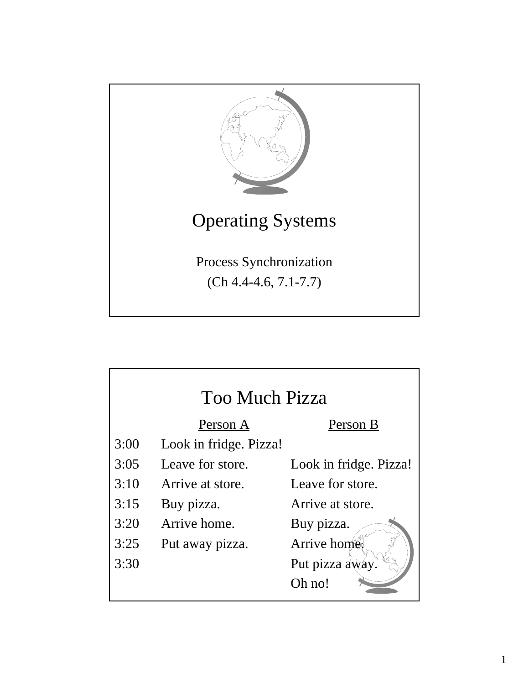

| Too Much Pizza |                        |                        |
|----------------|------------------------|------------------------|
|                | Person A               | Person B               |
| 3:00           | Look in fridge. Pizza! |                        |
| 3:05           | Leave for store.       | Look in fridge. Pizza! |
| 3:10           | Arrive at store.       | Leave for store.       |
| 3:15           | Buy pizza.             | Arrive at store.       |
| 3:20           | Arrive home.           | Buy pizza.             |
| 3:25           | Put away pizza.        | Arrive home            |
| 3:30           |                        | Put pizza away.        |
|                |                        | Oh no!                 |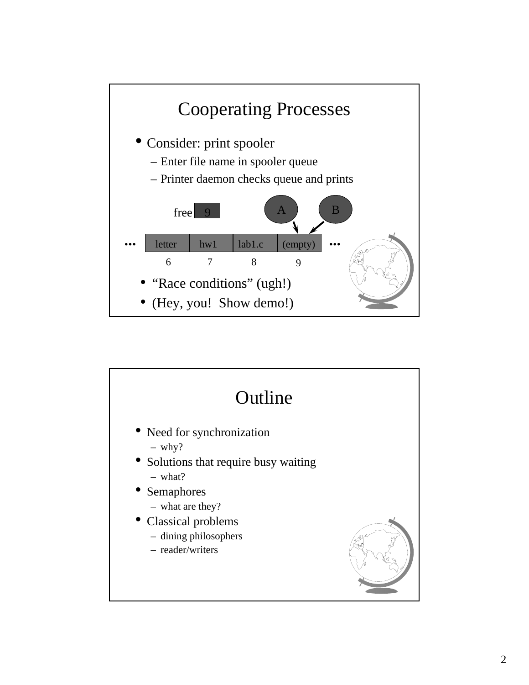

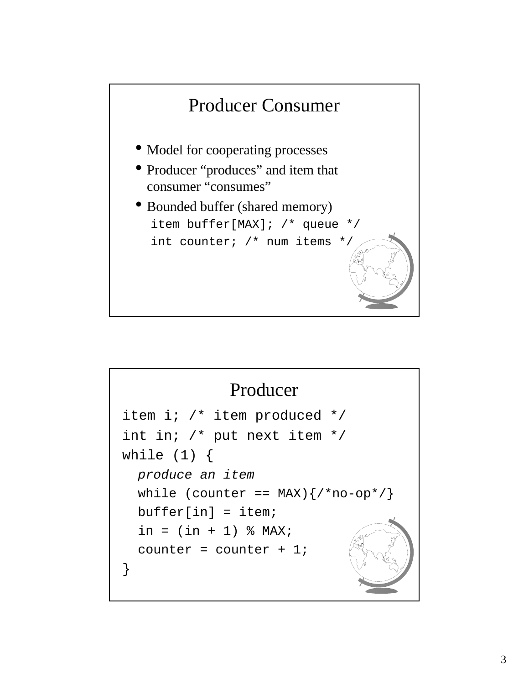

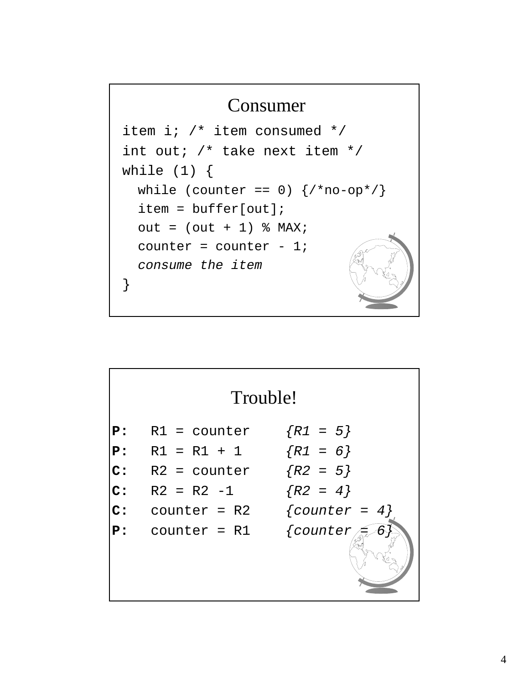## Consumer item i; /\* item consumed \*/ int out; /\* take next item \*/ while  $(1)$  { while (counter == 0)  $\{/*no-op*/\}$ item = buffer[out];  $out = (out + 1)$  % MAX; counter = counter -  $1$ ; *consume the item* }

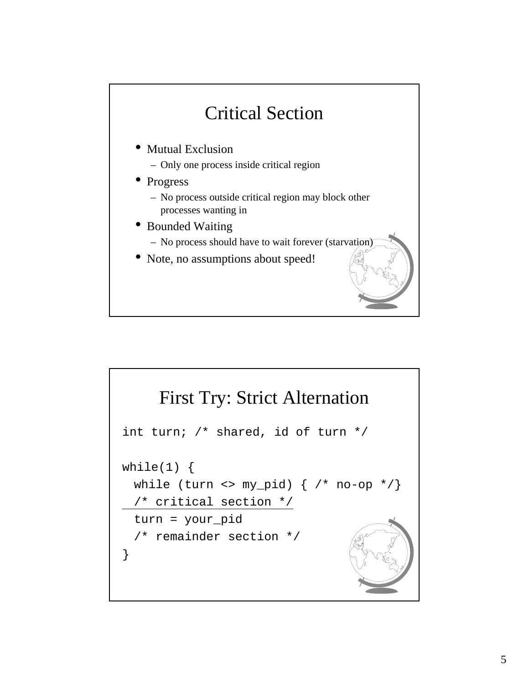

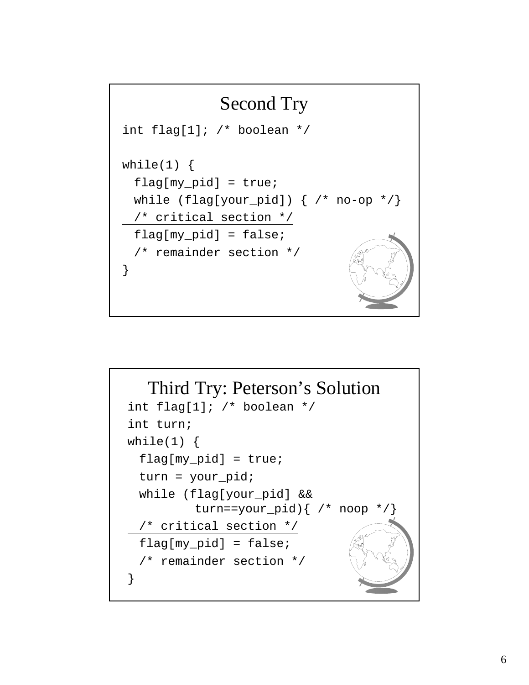

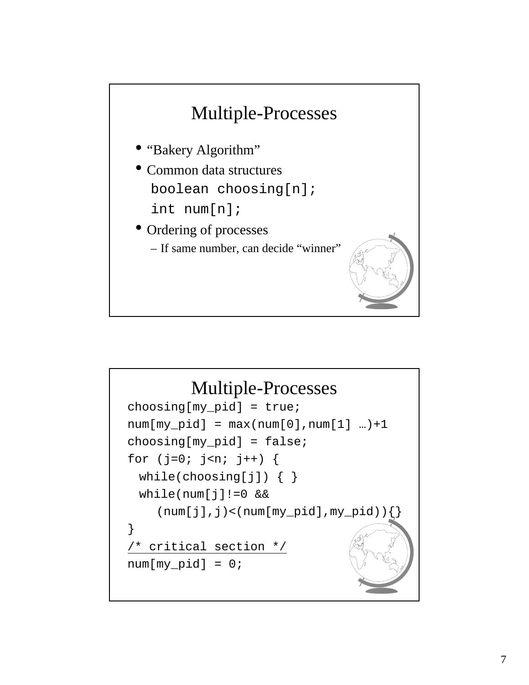

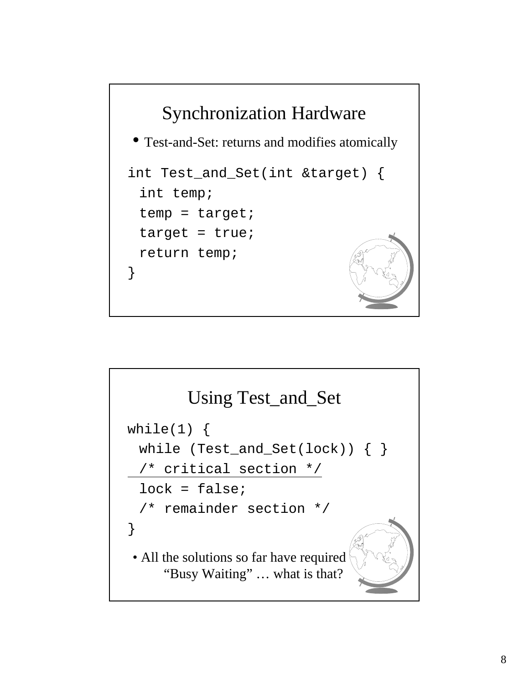

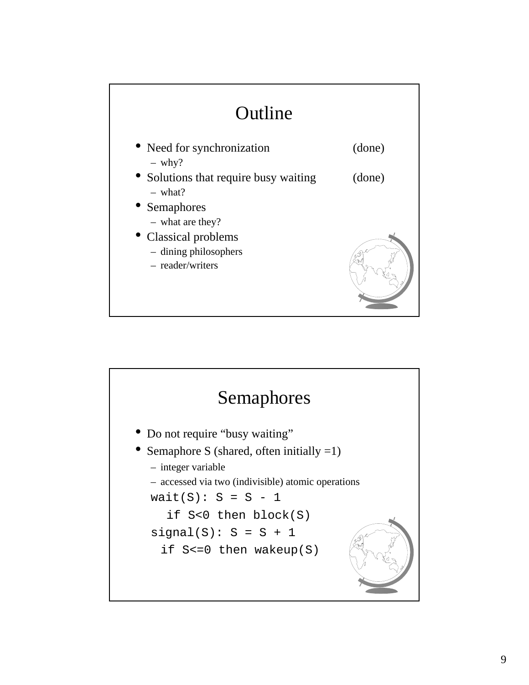

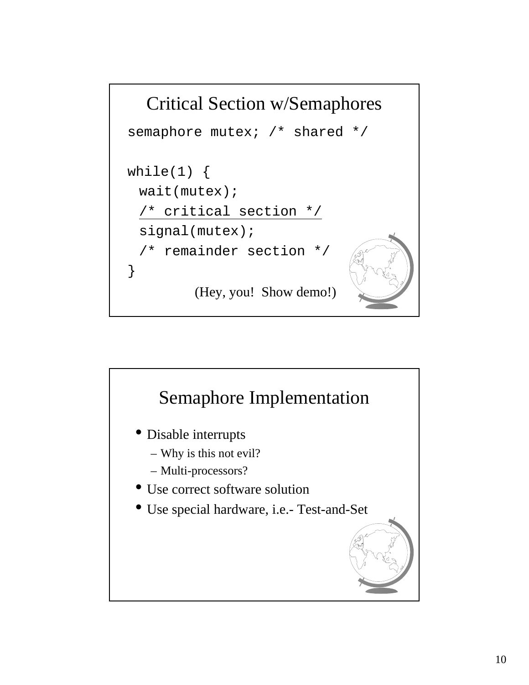

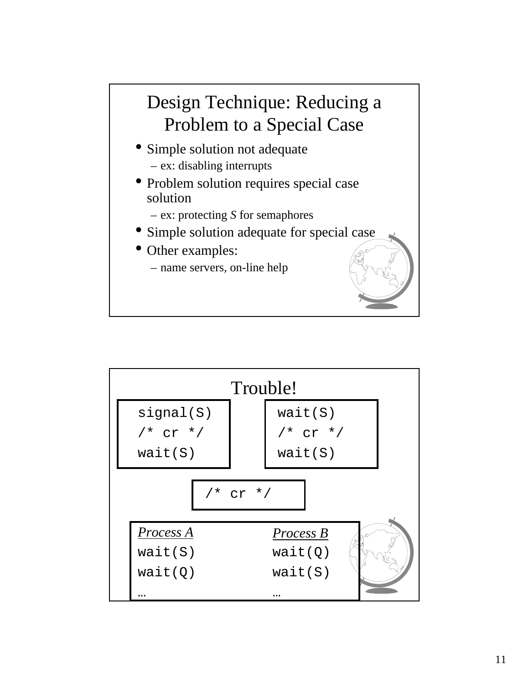# Design Technique: Reducing a Problem to a Special Case

- Simple solution not adequate – ex: disabling interrupts
- Problem solution requires special case solution
	- ex: protecting *S* for semaphores
- Simple solution adequate for special case
- Other examples:
	- name servers, on-line help

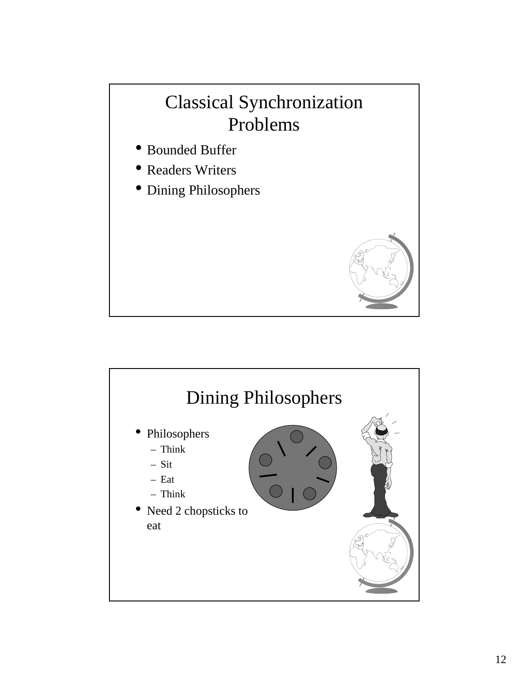## Classical Synchronization Problems

- Bounded Buffer
- Readers Writers
- Dining Philosophers



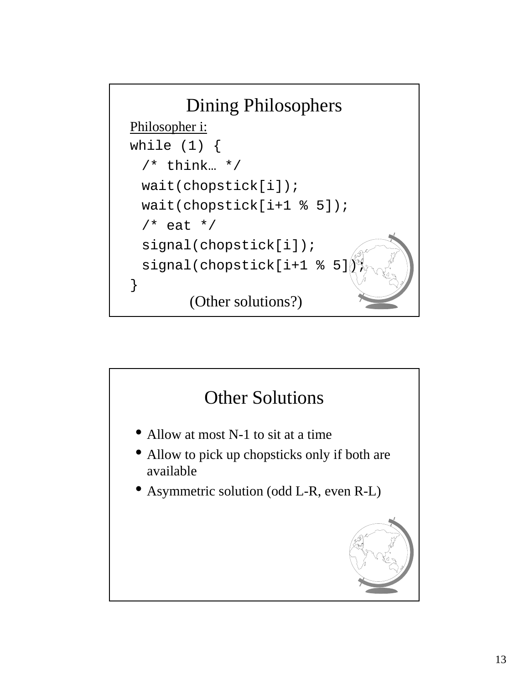

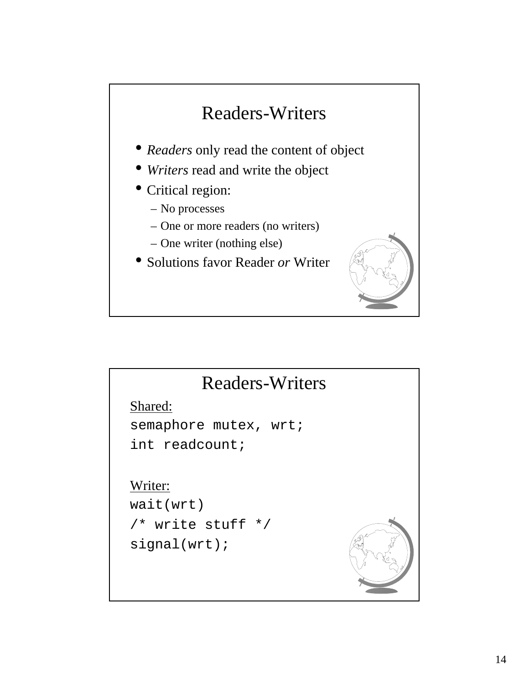# Readers-Writers • *Readers* only read the content of object • *Writers* read and write the object • Critical region:

- No processes
- One or more readers (no writers)
- One writer (nothing else)
- Solutions favor Reader *or* Writer



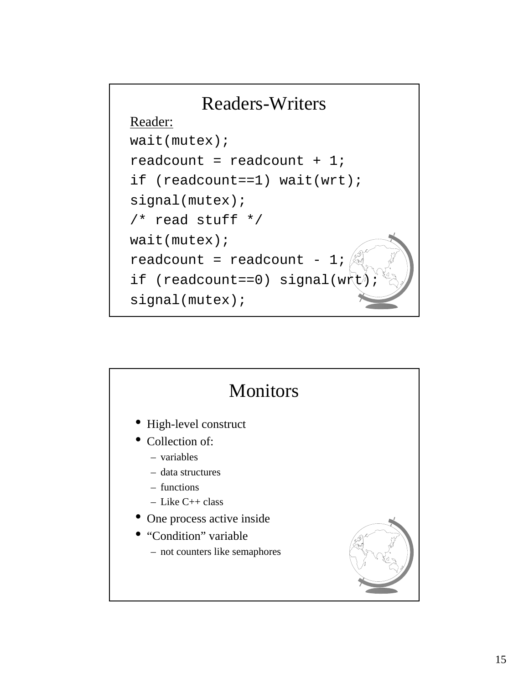

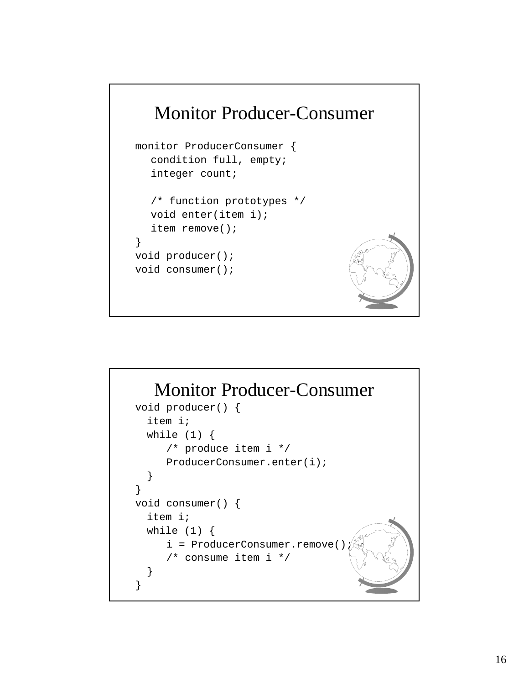

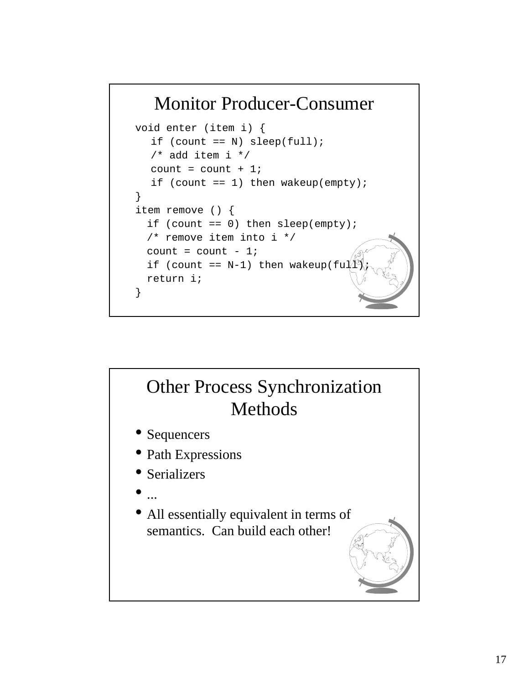### Monitor Producer-Consumer

```
void enter (item i) {
  if (count == N) sleep(full);
  /* add item i */
  count = count + 1;
  if (count == 1) then wakeup(empty);
}
item remove () {
  if (count == 0) then sleep(empty);
  /* remove item into i */
  count = count - 1;if (count == N-1) then wakeup(ful
 return i;
}
```
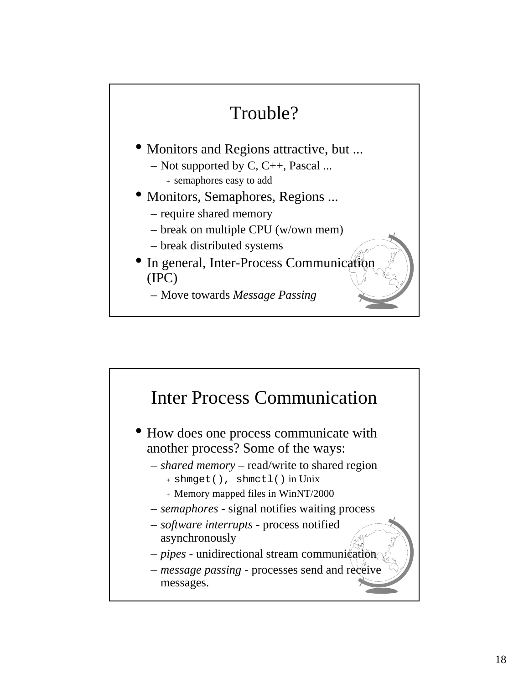

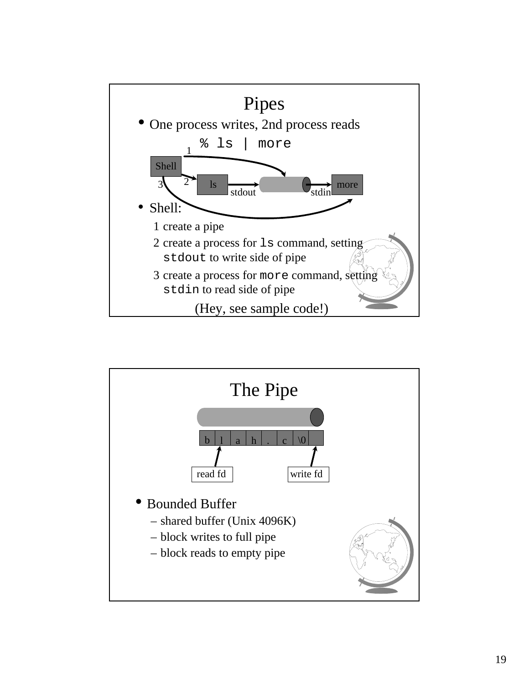

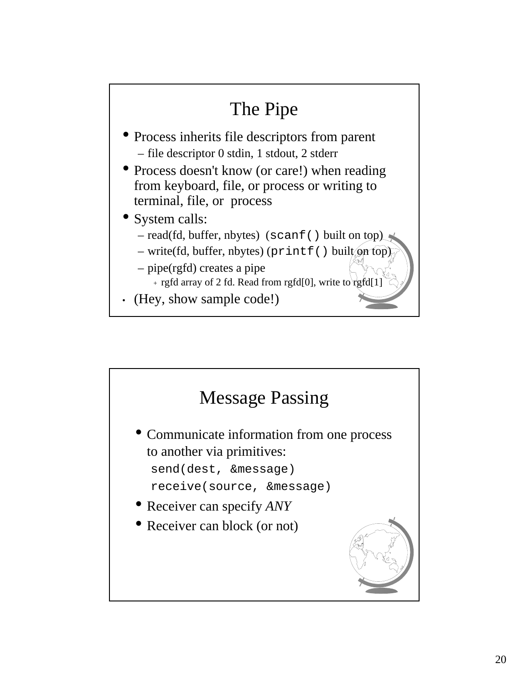

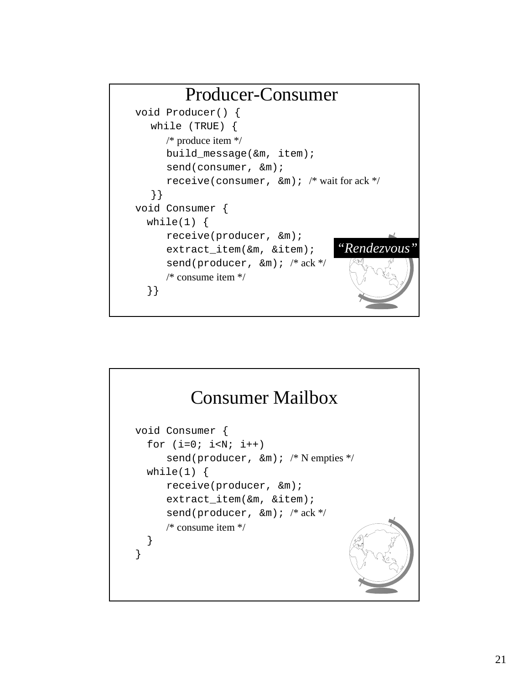

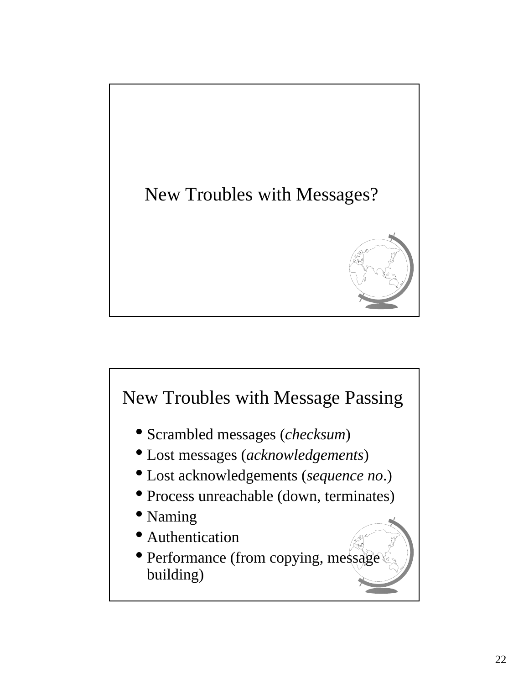

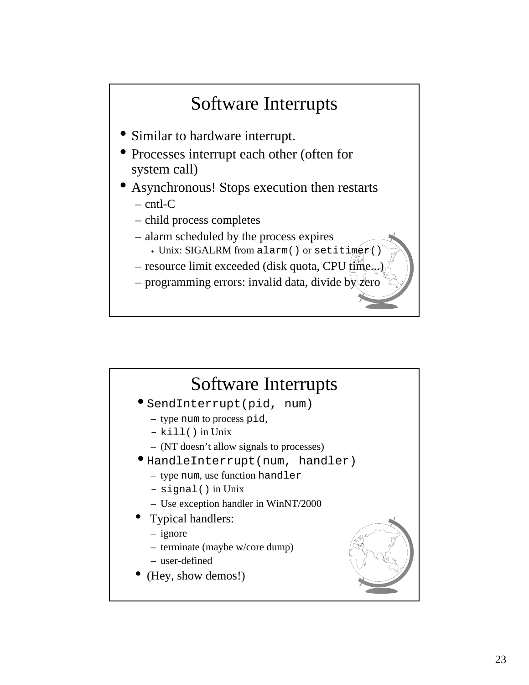# Software Interrupts

- Similar to hardware interrupt.
- Processes interrupt each other (often for system call)
- Asynchronous! Stops execution then restarts
	- cntl-C
	- child process completes
	- alarm scheduled by the process expires
		- + Unix: SIGALRM from alarm() or setiting
	- $-$  resource limit exceeded (disk quota, CPU  $\lim_{h \to 0}$
	- programming errors: invalid data, divide by

#### Software Interrupts •SendInterrupt(pid, num) – type num to process pid, – kill() in Unix – (NT doesn't allow signals to processes) •HandleInterrupt(num, handler) – type num, use function handler – signal() in Unix – Use exception handler in WinNT/2000 • Typical handlers: – ignore – terminate (maybe w/core dump) – user-defined • (Hey, show demos!)